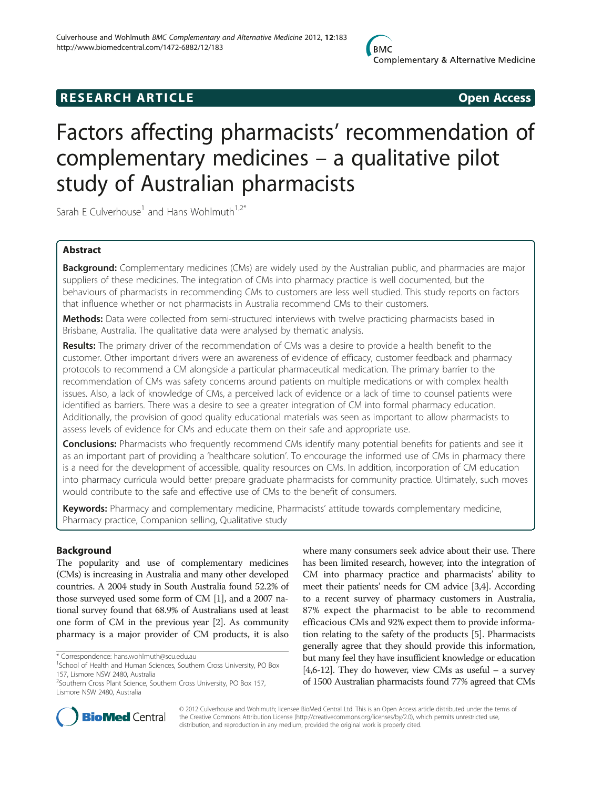# R E S EAR CH A R TIC L E Open Access

# Factors affecting pharmacists' recommendation of complementary medicines – a qualitative pilot study of Australian pharmacists

Sarah E Culverhouse<sup>1</sup> and Hans Wohlmuth<sup>1,2\*</sup>

# Abstract

Background: Complementary medicines (CMs) are widely used by the Australian public, and pharmacies are major suppliers of these medicines. The integration of CMs into pharmacy practice is well documented, but the behaviours of pharmacists in recommending CMs to customers are less well studied. This study reports on factors that influence whether or not pharmacists in Australia recommend CMs to their customers.

Methods: Data were collected from semi-structured interviews with twelve practicing pharmacists based in Brisbane, Australia. The qualitative data were analysed by thematic analysis.

Results: The primary driver of the recommendation of CMs was a desire to provide a health benefit to the customer. Other important drivers were an awareness of evidence of efficacy, customer feedback and pharmacy protocols to recommend a CM alongside a particular pharmaceutical medication. The primary barrier to the recommendation of CMs was safety concerns around patients on multiple medications or with complex health issues. Also, a lack of knowledge of CMs, a perceived lack of evidence or a lack of time to counsel patients were identified as barriers. There was a desire to see a greater integration of CM into formal pharmacy education. Additionally, the provision of good quality educational materials was seen as important to allow pharmacists to assess levels of evidence for CMs and educate them on their safe and appropriate use.

**Conclusions:** Pharmacists who frequently recommend CMs identify many potential benefits for patients and see it as an important part of providing a 'healthcare solution'. To encourage the informed use of CMs in pharmacy there is a need for the development of accessible, quality resources on CMs. In addition, incorporation of CM education into pharmacy curricula would better prepare graduate pharmacists for community practice. Ultimately, such moves would contribute to the safe and effective use of CMs to the benefit of consumers.

Keywords: Pharmacy and complementary medicine, Pharmacists' attitude towards complementary medicine, Pharmacy practice, Companion selling, Qualitative study

# Background

The popularity and use of complementary medicines (CMs) is increasing in Australia and many other developed countries. A 2004 study in South Australia found 52.2% of those surveyed used some form of CM [[1\]](#page-10-0), and a 2007 national survey found that 68.9% of Australians used at least one form of CM in the previous year [\[2\]](#page-10-0). As community pharmacy is a major provider of CM products, it is also

where many consumers seek advice about their use. There has been limited research, however, into the integration of CM into pharmacy practice and pharmacists' ability to meet their patients' needs for CM advice [\[3,4\]](#page-10-0). According to a recent survey of pharmacy customers in Australia, 87% expect the pharmacist to be able to recommend efficacious CMs and 92% expect them to provide information relating to the safety of the products [\[5](#page-10-0)]. Pharmacists generally agree that they should provide this information, but many feel they have insufficient knowledge or education [[4,6](#page-10-0)[-12\]](#page-11-0). They do however, view CMs as useful – a survey of 1500 Australian pharmacists found 77% agreed that CMs



© 2012 Culverhouse and Wohlmuth; licensee BioMed Central Ltd. This is an Open Access article distributed under the terms of the Creative Commons Attribution License [\(http://creativecommons.org/licenses/by/2.0\)](http://creativecommons.org/licenses/by/2.0), which permits unrestricted use, distribution, and reproduction in any medium, provided the original work is properly cited.

<sup>\*</sup> Correspondence: [hans.wohlmuth@scu.edu.au](mailto:hans.wohlmuth@scu.edu.au) <sup>1</sup>

<sup>&</sup>lt;sup>1</sup>School of Health and Human Sciences, Southern Cross University, PO Box 157, Lismore NSW 2480, Australia

<sup>&</sup>lt;sup>2</sup>Southern Cross Plant Science, Southern Cross University, PO Box 157, Lismore NSW 2480, Australia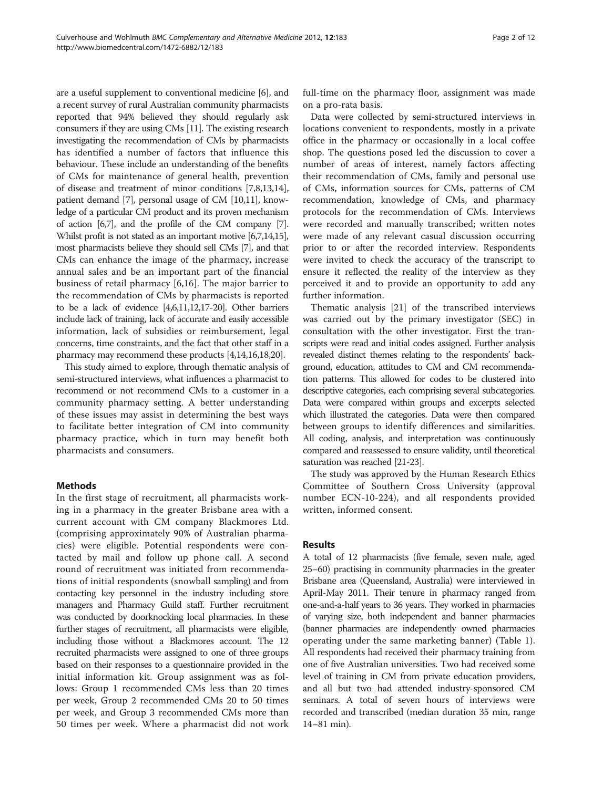are a useful supplement to conventional medicine [[6\]](#page-10-0), and a recent survey of rural Australian community pharmacists reported that 94% believed they should regularly ask consumers if they are using CMs [\[11\]](#page-11-0). The existing research investigating the recommendation of CMs by pharmacists has identified a number of factors that influence this behaviour. These include an understanding of the benefits of CMs for maintenance of general health, prevention of disease and treatment of minor conditions [\[7](#page-10-0)[,8,13,14](#page-11-0)], patient demand [\[7](#page-10-0)], personal usage of CM [\[10,11\]](#page-11-0), knowledge of a particular CM product and its proven mechanism of action [[6,7\]](#page-10-0), and the profile of the CM company [\[7\]](#page-10-0). Whilst profit is not stated as an important motive [\[6,7](#page-10-0)[,14,15\]](#page-11-0), most pharmacists believe they should sell CMs [\[7\]](#page-10-0), and that CMs can enhance the image of the pharmacy, increase annual sales and be an important part of the financial business of retail pharmacy [[6,](#page-10-0)[16](#page-11-0)]. The major barrier to the recommendation of CMs by pharmacists is reported to be a lack of evidence [\[4,6,](#page-10-0)[11,12,17-20\]](#page-11-0). Other barriers include lack of training, lack of accurate and easily accessible information, lack of subsidies or reimbursement, legal concerns, time constraints, and the fact that other staff in a pharmacy may recommend these products [\[4,](#page-10-0)[14,16,18,20\]](#page-11-0).

This study aimed to explore, through thematic analysis of semi-structured interviews, what influences a pharmacist to recommend or not recommend CMs to a customer in a community pharmacy setting. A better understanding of these issues may assist in determining the best ways to facilitate better integration of CM into community pharmacy practice, which in turn may benefit both pharmacists and consumers.

# Methods

In the first stage of recruitment, all pharmacists working in a pharmacy in the greater Brisbane area with a current account with CM company Blackmores Ltd. (comprising approximately 90% of Australian pharmacies) were eligible. Potential respondents were contacted by mail and follow up phone call. A second round of recruitment was initiated from recommendations of initial respondents (snowball sampling) and from contacting key personnel in the industry including store managers and Pharmacy Guild staff. Further recruitment was conducted by doorknocking local pharmacies. In these further stages of recruitment, all pharmacists were eligible, including those without a Blackmores account. The 12 recruited pharmacists were assigned to one of three groups based on their responses to a questionnaire provided in the initial information kit. Group assignment was as follows: Group 1 recommended CMs less than 20 times per week, Group 2 recommended CMs 20 to 50 times per week, and Group 3 recommended CMs more than 50 times per week. Where a pharmacist did not work full-time on the pharmacy floor, assignment was made on a pro-rata basis.

Data were collected by semi-structured interviews in locations convenient to respondents, mostly in a private office in the pharmacy or occasionally in a local coffee shop. The questions posed led the discussion to cover a number of areas of interest, namely factors affecting their recommendation of CMs, family and personal use of CMs, information sources for CMs, patterns of CM recommendation, knowledge of CMs, and pharmacy protocols for the recommendation of CMs. Interviews were recorded and manually transcribed; written notes were made of any relevant casual discussion occurring prior to or after the recorded interview. Respondents were invited to check the accuracy of the transcript to ensure it reflected the reality of the interview as they perceived it and to provide an opportunity to add any further information.

Thematic analysis [\[21](#page-11-0)] of the transcribed interviews was carried out by the primary investigator (SEC) in consultation with the other investigator. First the transcripts were read and initial codes assigned. Further analysis revealed distinct themes relating to the respondents' background, education, attitudes to CM and CM recommendation patterns. This allowed for codes to be clustered into descriptive categories, each comprising several subcategories. Data were compared within groups and excerpts selected which illustrated the categories. Data were then compared between groups to identify differences and similarities. All coding, analysis, and interpretation was continuously compared and reassessed to ensure validity, until theoretical saturation was reached [[21-23\]](#page-11-0).

The study was approved by the Human Research Ethics Committee of Southern Cross University (approval number ECN-10-224), and all respondents provided written, informed consent.

# Results

A total of 12 pharmacists (five female, seven male, aged 25–60) practising in community pharmacies in the greater Brisbane area (Queensland, Australia) were interviewed in April-May 2011. Their tenure in pharmacy ranged from one-and-a-half years to 36 years. They worked in pharmacies of varying size, both independent and banner pharmacies (banner pharmacies are independently owned pharmacies operating under the same marketing banner) (Table [1](#page-2-0)). All respondents had received their pharmacy training from one of five Australian universities. Two had received some level of training in CM from private education providers, and all but two had attended industry-sponsored CM seminars. A total of seven hours of interviews were recorded and transcribed (median duration 35 min, range 14–81 min).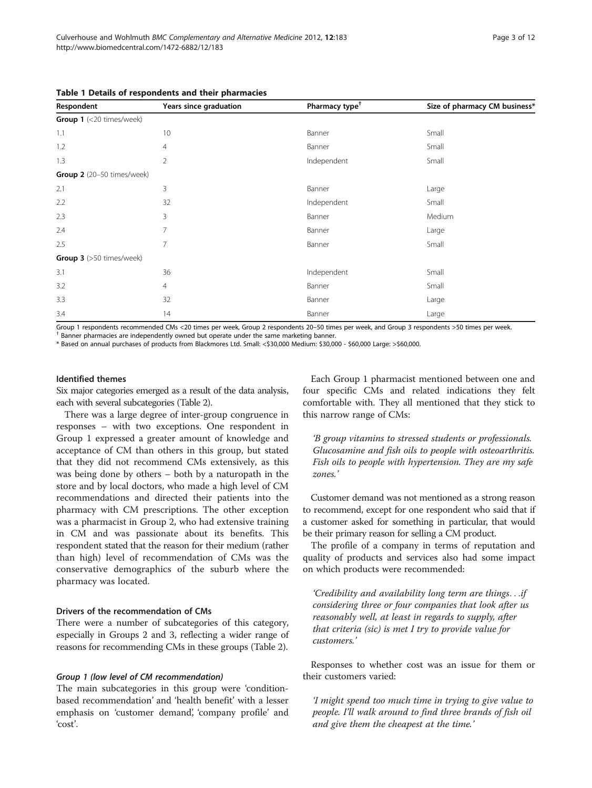| Respondent                 | Years since graduation | Pharmacy type <sup>+</sup> | Size of pharmacy CM business* |
|----------------------------|------------------------|----------------------------|-------------------------------|
| Group 1 (<20 times/week)   |                        |                            |                               |
| 1.1                        | 10                     | Banner                     | Small                         |
| 1.2                        | 4                      | Banner                     | Small                         |
| 1.3                        | $\overline{2}$         | Independent                | Small                         |
| Group 2 (20-50 times/week) |                        |                            |                               |
| 2.1                        | 3                      | Banner                     | Large                         |
| 2.2                        | 32                     | Independent                | Small                         |
| 2.3                        | 3                      | Banner                     | Medium                        |
| 2.4                        | 7                      | Banner                     | Large                         |
| 2.5                        | 7                      | Banner                     | Small                         |
| Group 3 (>50 times/week)   |                        |                            |                               |
| 3.1                        | 36                     | Independent                | Small                         |
| 3.2                        | 4                      | Banner                     | Small                         |
| 3.3                        | 32                     | Banner                     | Large                         |
| 3.4                        | 14                     | Banner                     | Large                         |

<span id="page-2-0"></span>Table 1 Details of respondents and their pharmacies

Group 1 respondents recommended CMs <20 times per week, Group 2 respondents 20–50 times per week, and Group 3 respondents >50 times per week.  $^{\dagger}$  Banner pharmacies are independently owned but operate under the same ma

\* Based on annual purchases of products from Blackmores Ltd. Small: <\$30,000 Medium: \$30,000 - \$60,000 Large: >\$60,000.

# Identified themes

Six major categories emerged as a result of the data analysis, each with several subcategories (Table [2\)](#page-3-0).

There was a large degree of inter-group congruence in responses – with two exceptions. One respondent in Group 1 expressed a greater amount of knowledge and acceptance of CM than others in this group, but stated that they did not recommend CMs extensively, as this was being done by others – both by a naturopath in the store and by local doctors, who made a high level of CM recommendations and directed their patients into the pharmacy with CM prescriptions. The other exception was a pharmacist in Group 2, who had extensive training in CM and was passionate about its benefits. This respondent stated that the reason for their medium (rather than high) level of recommendation of CMs was the conservative demographics of the suburb where the pharmacy was located.

#### Drivers of the recommendation of CMs

There were a number of subcategories of this category, especially in Groups 2 and 3, reflecting a wider range of reasons for recommending CMs in these groups (Table [2\)](#page-3-0).

#### Group 1 (low level of CM recommendation)

The main subcategories in this group were 'conditionbased recommendation' and 'health benefit' with a lesser emphasis on 'customer demand', 'company profile' and 'cost'.

Each Group 1 pharmacist mentioned between one and four specific CMs and related indications they felt comfortable with. They all mentioned that they stick to this narrow range of CMs:

'B group vitamins to stressed students or professionals. Glucosamine and fish oils to people with osteoarthritis. Fish oils to people with hypertension. They are my safe zones.'

Customer demand was not mentioned as a strong reason to recommend, except for one respondent who said that if a customer asked for something in particular, that would be their primary reason for selling a CM product.

The profile of a company in terms of reputation and quality of products and services also had some impact on which products were recommended:

'Credibility and availability long term are things...if considering three or four companies that look after us reasonably well, at least in regards to supply, after that criteria (sic) is met I try to provide value for customers.'

Responses to whether cost was an issue for them or their customers varied:

'I might spend too much time in trying to give value to people. I'll walk around to find three brands of fish oil and give them the cheapest at the time.'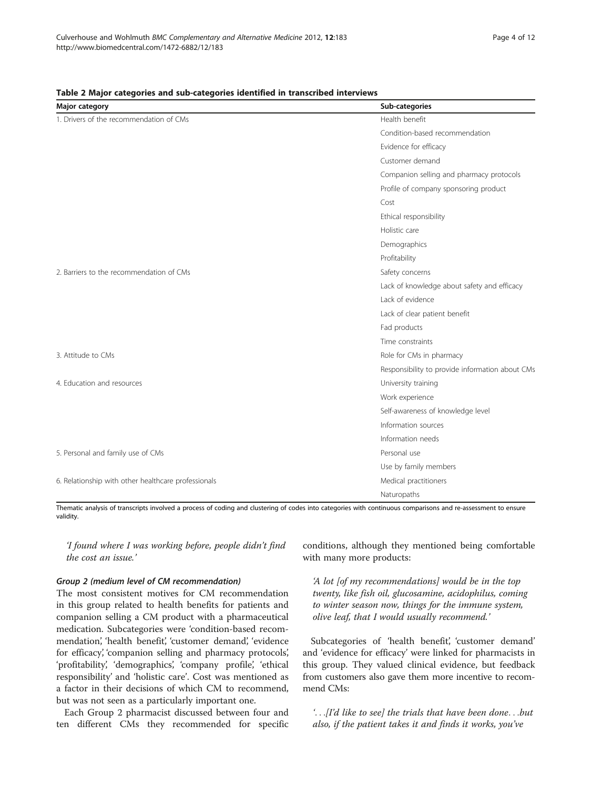| Major category                                      | Sub-categories                                  |
|-----------------------------------------------------|-------------------------------------------------|
| 1. Drivers of the recommendation of CMs             | Health benefit                                  |
|                                                     | Condition-based recommendation                  |
|                                                     | Evidence for efficacy                           |
|                                                     | Customer demand                                 |
|                                                     | Companion selling and pharmacy protocols        |
|                                                     | Profile of company sponsoring product           |
|                                                     | Cost                                            |
|                                                     | Ethical responsibility                          |
|                                                     | Holistic care                                   |
|                                                     | Demographics                                    |
|                                                     | Profitability                                   |
| 2. Barriers to the recommendation of CMs            | Safety concerns                                 |
|                                                     | Lack of knowledge about safety and efficacy     |
|                                                     | Lack of evidence                                |
|                                                     | Lack of clear patient benefit                   |
|                                                     | Fad products                                    |
|                                                     | Time constraints                                |
| 3. Attitude to CMs                                  | Role for CMs in pharmacy                        |
|                                                     | Responsibility to provide information about CMs |
| 4. Education and resources                          | University training                             |
|                                                     | Work experience                                 |
|                                                     | Self-awareness of knowledge level               |
|                                                     | Information sources                             |
|                                                     | Information needs                               |
| 5. Personal and family use of CMs                   | Personal use                                    |
|                                                     | Use by family members                           |
| 6. Relationship with other healthcare professionals | Medical practitioners                           |
|                                                     | Naturopaths                                     |

#### <span id="page-3-0"></span>Table 2 Major categories and sub-categories identified in transcribed interviews

Thematic analysis of transcripts involved a process of coding and clustering of codes into categories with continuous comparisons and re-assessment to ensure validity.

'I found where I was working before, people didn't find the cost an issue.'

# Group 2 (medium level of CM recommendation)

The most consistent motives for CM recommendation in this group related to health benefits for patients and companion selling a CM product with a pharmaceutical medication. Subcategories were 'condition-based recommendation', 'health benefit', 'customer demand', 'evidence for efficacy', 'companion selling and pharmacy protocols', 'profitability', 'demographics', 'company profile', 'ethical responsibility' and 'holistic care'. Cost was mentioned as a factor in their decisions of which CM to recommend, but was not seen as a particularly important one.

Each Group 2 pharmacist discussed between four and ten different CMs they recommended for specific

conditions, although they mentioned being comfortable with many more products:

'A lot [of my recommendations] would be in the top twenty, like fish oil, glucosamine, acidophilus, coming to winter season now, things for the immune system, olive leaf, that I would usually recommend.'

Subcategories of 'health benefit', 'customer demand' and 'evidence for efficacy' were linked for pharmacists in this group. They valued clinical evidence, but feedback from customers also gave them more incentive to recommend CMs:

'...[I'd like to see] the trials that have been done...but also, if the patient takes it and finds it works, you've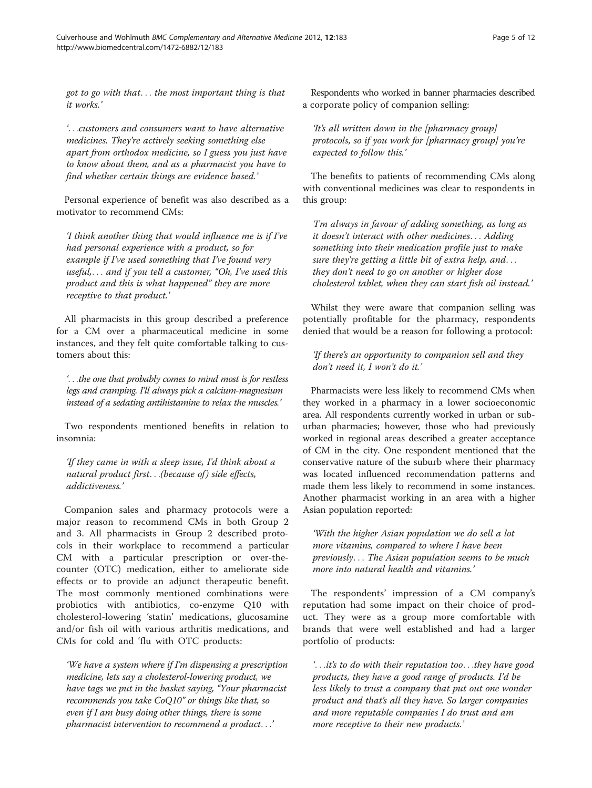got to go with that... the most important thing is that it works.'

'...customers and consumers want to have alternative medicines. They're actively seeking something else apart from orthodox medicine, so I guess you just have to know about them, and as a pharmacist you have to find whether certain things are evidence based.'

Personal experience of benefit was also described as a motivator to recommend CMs:

'I think another thing that would influence me is if I've had personal experience with a product, so for example if I've used something that I've found very useful,... and if you tell a customer, "Oh, I've used this product and this is what happened" they are more receptive to that product.'

All pharmacists in this group described a preference for a CM over a pharmaceutical medicine in some instances, and they felt quite comfortable talking to customers about this:

'...the one that probably comes to mind most is for restless legs and cramping. I'll always pick a calcium-magnesium instead of a sedating antihistamine to relax the muscles.'

Two respondents mentioned benefits in relation to insomnia:

'If they came in with a sleep issue, I'd think about a natural product first...(because of) side effects, addictiveness.'

Companion sales and pharmacy protocols were a major reason to recommend CMs in both Group 2 and 3. All pharmacists in Group 2 described protocols in their workplace to recommend a particular CM with a particular prescription or over-thecounter (OTC) medication, either to ameliorate side effects or to provide an adjunct therapeutic benefit. The most commonly mentioned combinations were probiotics with antibiotics, co-enzyme Q10 with cholesterol-lowering 'statin' medications, glucosamine and/or fish oil with various arthritis medications, and CMs for cold and 'flu with OTC products:

'We have a system where if I'm dispensing a prescription medicine, lets say a cholesterol-lowering product, we have tags we put in the basket saying, "Your pharmacist recommends you take CoQ10" or things like that, so even if I am busy doing other things, there is some pharmacist intervention to recommend a product...'

Respondents who worked in banner pharmacies described a corporate policy of companion selling:

'It's all written down in the [pharmacy group] protocols, so if you work for [pharmacy group] you're expected to follow this.'

The benefits to patients of recommending CMs along with conventional medicines was clear to respondents in this group:

'I'm always in favour of adding something, as long as it doesn't interact with other medicines... Adding something into their medication profile just to make sure they're getting a little bit of extra help, and... they don't need to go on another or higher dose cholesterol tablet, when they can start fish oil instead.'

Whilst they were aware that companion selling was potentially profitable for the pharmacy, respondents denied that would be a reason for following a protocol:

'If there's an opportunity to companion sell and they don't need it, I won't do it.'

Pharmacists were less likely to recommend CMs when they worked in a pharmacy in a lower socioeconomic area. All respondents currently worked in urban or suburban pharmacies; however, those who had previously worked in regional areas described a greater acceptance of CM in the city. One respondent mentioned that the conservative nature of the suburb where their pharmacy was located influenced recommendation patterns and made them less likely to recommend in some instances. Another pharmacist working in an area with a higher Asian population reported:

'With the higher Asian population we do sell a lot more vitamins, compared to where I have been previously... The Asian population seems to be much more into natural health and vitamins.'

The respondents' impression of a CM company's reputation had some impact on their choice of product. They were as a group more comfortable with brands that were well established and had a larger portfolio of products:

'...it's to do with their reputation too...they have good products, they have a good range of products. I'd be less likely to trust a company that put out one wonder product and that's all they have. So larger companies and more reputable companies I do trust and am more receptive to their new products.'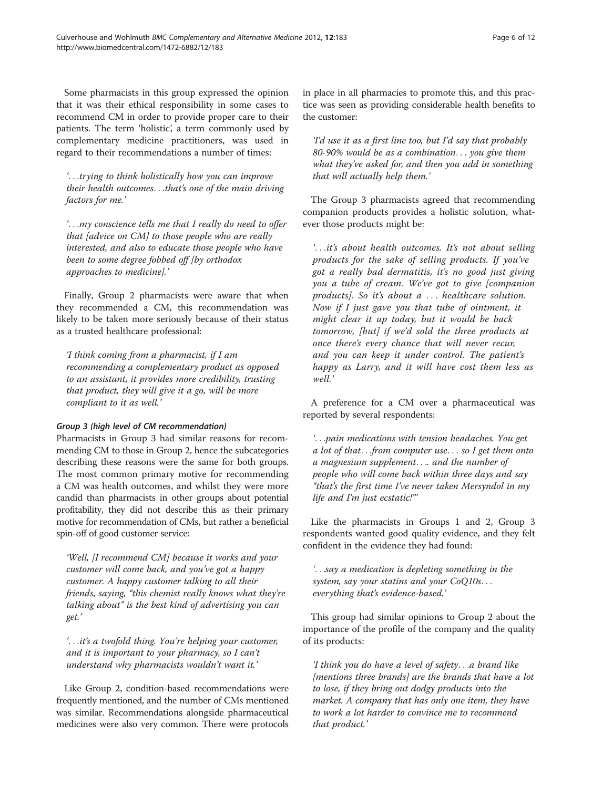Some pharmacists in this group expressed the opinion that it was their ethical responsibility in some cases to recommend CM in order to provide proper care to their patients. The term 'holistic', a term commonly used by complementary medicine practitioners, was used in regard to their recommendations a number of times:

'...trying to think holistically how you can improve their health outcomes...that's one of the main driving factors for me.'

'...my conscience tells me that I really do need to offer that [advice on CM] to those people who are really interested, and also to educate those people who have been to some degree fobbed off [by orthodox approaches to medicine].'

Finally, Group 2 pharmacists were aware that when they recommended a CM, this recommendation was likely to be taken more seriously because of their status as a trusted healthcare professional:

'I think coming from a pharmacist, if I am recommending a complementary product as opposed to an assistant, it provides more credibility, trusting that product, they will give it a go, will be more compliant to it as well.'

# Group 3 (high level of CM recommendation)

Pharmacists in Group 3 had similar reasons for recommending CM to those in Group 2, hence the subcategories describing these reasons were the same for both groups. The most common primary motive for recommending a CM was health outcomes, and whilst they were more candid than pharmacists in other groups about potential profitability, they did not describe this as their primary motive for recommendation of CMs, but rather a beneficial spin-off of good customer service:

'Well, [I recommend CM] because it works and your customer will come back, and you've got a happy customer. A happy customer talking to all their friends, saying, "this chemist really knows what they're talking about" is the best kind of advertising you can get.'

'...it's a twofold thing. You're helping your customer, and it is important to your pharmacy, so I can't understand why pharmacists wouldn't want it.'

Like Group 2, condition-based recommendations were frequently mentioned, and the number of CMs mentioned was similar. Recommendations alongside pharmaceutical medicines were also very common. There were protocols in place in all pharmacies to promote this, and this practice was seen as providing considerable health benefits to the customer:

'I'd use it as a first line too, but I'd say that probably 80-90% would be as a combination... you give them what they've asked for, and then you add in something that will actually help them.'

The Group 3 pharmacists agreed that recommending companion products provides a holistic solution, whatever those products might be:

'...it's about health outcomes. It's not about selling products for the sake of selling products. If you've got a really bad dermatitis, it's no good just giving you a tube of cream. We've got to give [companion products]. So it's about a ... healthcare solution. Now if I just gave you that tube of ointment, it might clear it up today, but it would be back tomorrow, [but] if we'd sold the three products at once there's every chance that will never recur, and you can keep it under control. The patient's happy as Larry, and it will have cost them less as well.'

A preference for a CM over a pharmaceutical was reported by several respondents:

'...pain medications with tension headaches. You get a lot of that...from computer use... so I get them onto a magnesium supplement.... and the number of people who will come back within three days and say "that's the first time I've never taken Mersyndol in my life and I'm just ecstatic!"'

Like the pharmacists in Groups 1 and 2, Group 3 respondents wanted good quality evidence, and they felt confident in the evidence they had found:

'...say a medication is depleting something in the system, say your statins and your CoQ10s... everything that's evidence-based.'

This group had similar opinions to Group 2 about the importance of the profile of the company and the quality of its products:

'I think you do have a level of safety...a brand like [mentions three brands] are the brands that have a lot to lose, if they bring out dodgy products into the market. A company that has only one item, they have to work a lot harder to convince me to recommend that product.'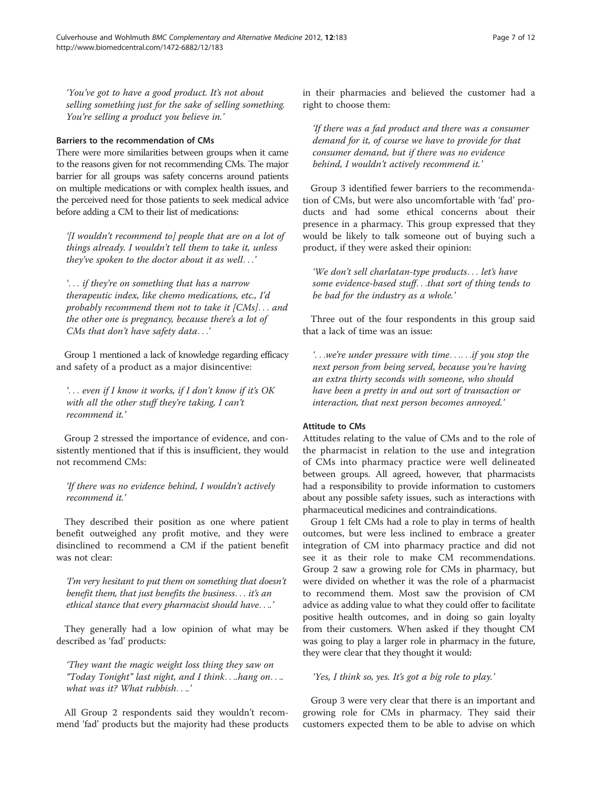'You've got to have a good product. It's not about selling something just for the sake of selling something. You're selling a product you believe in.'

# Barriers to the recommendation of CMs

There were more similarities between groups when it came to the reasons given for not recommending CMs. The major barrier for all groups was safety concerns around patients on multiple medications or with complex health issues, and the perceived need for those patients to seek medical advice before adding a CM to their list of medications:

'[I wouldn't recommend to] people that are on a lot of things already. I wouldn't tell them to take it, unless they've spoken to the doctor about it as well...'

'... if they're on something that has a narrow therapeutic index, like chemo medications, etc., I'd probably recommend them not to take it [CMs]... and the other one is pregnancy, because there's a lot of CMs that don't have safety data...'

Group 1 mentioned a lack of knowledge regarding efficacy and safety of a product as a major disincentive:

'... even if I know it works, if I don't know if it's OK with all the other stuff they're taking, I can't recommend it.'

Group 2 stressed the importance of evidence, and consistently mentioned that if this is insufficient, they would not recommend CMs:

'If there was no evidence behind, I wouldn't actively recommend it.'

They described their position as one where patient benefit outweighed any profit motive, and they were disinclined to recommend a CM if the patient benefit was not clear:

'I'm very hesitant to put them on something that doesn't benefit them, that just benefits the business... it's an ethical stance that every pharmacist should have....'

They generally had a low opinion of what may be described as 'fad' products:

'They want the magic weight loss thing they saw on "Today Tonight" last night, and I think....hang on.... what was it? What rubbish....'

All Group 2 respondents said they wouldn't recommend 'fad' products but the majority had these products in their pharmacies and believed the customer had a right to choose them:

'If there was a fad product and there was a consumer demand for it, of course we have to provide for that consumer demand, but if there was no evidence behind, I wouldn't actively recommend it.'

Group 3 identified fewer barriers to the recommendation of CMs, but were also uncomfortable with 'fad' products and had some ethical concerns about their presence in a pharmacy. This group expressed that they would be likely to talk someone out of buying such a product, if they were asked their opinion:

'We don't sell charlatan-type products... let's have some evidence-based stuff...that sort of thing tends to be bad for the industry as a whole.'

Three out of the four respondents in this group said that a lack of time was an issue:

'...we're under pressure with time. . .. . .if you stop the next person from being served, because you're having an extra thirty seconds with someone, who should have been a pretty in and out sort of transaction or interaction, that next person becomes annoyed.'

# Attitude to CMs

Attitudes relating to the value of CMs and to the role of the pharmacist in relation to the use and integration of CMs into pharmacy practice were well delineated between groups. All agreed, however, that pharmacists had a responsibility to provide information to customers about any possible safety issues, such as interactions with pharmaceutical medicines and contraindications.

Group 1 felt CMs had a role to play in terms of health outcomes, but were less inclined to embrace a greater integration of CM into pharmacy practice and did not see it as their role to make CM recommendations. Group 2 saw a growing role for CMs in pharmacy, but were divided on whether it was the role of a pharmacist to recommend them. Most saw the provision of CM advice as adding value to what they could offer to facilitate positive health outcomes, and in doing so gain loyalty from their customers. When asked if they thought CM was going to play a larger role in pharmacy in the future, they were clear that they thought it would:

'Yes, I think so, yes. It's got a big role to play.'

Group 3 were very clear that there is an important and growing role for CMs in pharmacy. They said their customers expected them to be able to advise on which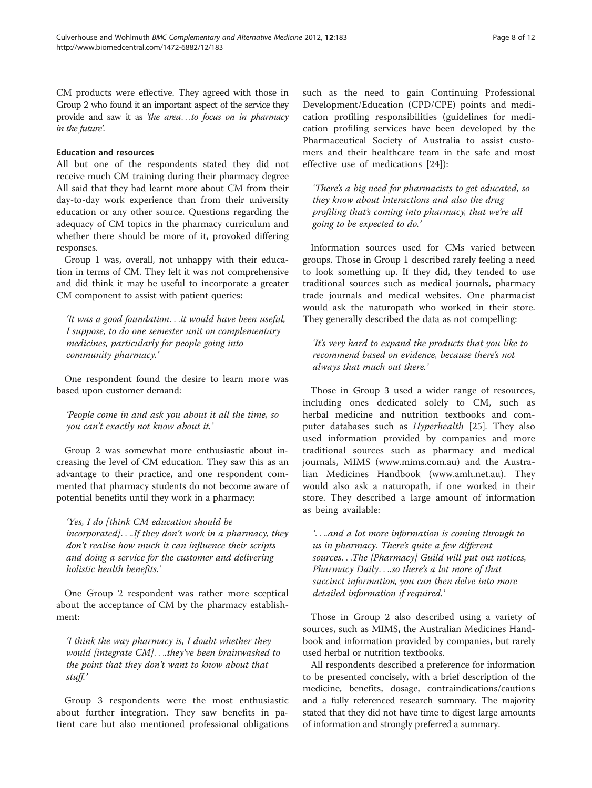CM products were effective. They agreed with those in Group 2 who found it an important aspect of the service they provide and saw it as 'the area...to focus on in pharmacy in the future'.

# Education and resources

All but one of the respondents stated they did not receive much CM training during their pharmacy degree All said that they had learnt more about CM from their day-to-day work experience than from their university education or any other source. Questions regarding the adequacy of CM topics in the pharmacy curriculum and whether there should be more of it, provoked differing responses.

Group 1 was, overall, not unhappy with their education in terms of CM. They felt it was not comprehensive and did think it may be useful to incorporate a greater CM component to assist with patient queries:

'It was a good foundation...it would have been useful, I suppose, to do one semester unit on complementary medicines, particularly for people going into community pharmacy.'

One respondent found the desire to learn more was based upon customer demand:

'People come in and ask you about it all the time, so you can't exactly not know about it.'

Group 2 was somewhat more enthusiastic about increasing the level of CM education. They saw this as an advantage to their practice, and one respondent commented that pharmacy students do not become aware of potential benefits until they work in a pharmacy:

'Yes, I do [think CM education should be incorporated]....If they don't work in a pharmacy, they don't realise how much it can influence their scripts and doing a service for the customer and delivering holistic health benefits.'

One Group 2 respondent was rather more sceptical about the acceptance of CM by the pharmacy establishment:

'I think the way pharmacy is, I doubt whether they would [integrate CM]....they've been brainwashed to the point that they don't want to know about that stuff.'

Group 3 respondents were the most enthusiastic about further integration. They saw benefits in patient care but also mentioned professional obligations

such as the need to gain Continuing Professional Development/Education (CPD/CPE) points and medication profiling responsibilities (guidelines for medication profiling services have been developed by the Pharmaceutical Society of Australia to assist customers and their healthcare team in the safe and most effective use of medications [\[24](#page-11-0)]):

'There's a big need for pharmacists to get educated, so they know about interactions and also the drug profiling that's coming into pharmacy, that we're all going to be expected to do.'

Information sources used for CMs varied between groups. Those in Group 1 described rarely feeling a need to look something up. If they did, they tended to use traditional sources such as medical journals, pharmacy trade journals and medical websites. One pharmacist would ask the naturopath who worked in their store. They generally described the data as not compelling:

'It's very hard to expand the products that you like to recommend based on evidence, because there's not always that much out there.'

Those in Group 3 used a wider range of resources, including ones dedicated solely to CM, such as herbal medicine and nutrition textbooks and com-puter databases such as Hyperhealth [\[25](#page-11-0)]. They also used information provided by companies and more traditional sources such as pharmacy and medical journals, MIMS [\(www.mims.com.au\)](http://www.mims.com.au) and the Australian Medicines Handbook ([www.amh.net.au\)](http://www.amh.net.au). They would also ask a naturopath, if one worked in their store. They described a large amount of information as being available:

'....and a lot more information is coming through to us in pharmacy. There's quite a few different sources...The [Pharmacy] Guild will put out notices, Pharmacy Daily....so there's a lot more of that succinct information, you can then delve into more detailed information if required.'

Those in Group 2 also described using a variety of sources, such as MIMS, the Australian Medicines Handbook and information provided by companies, but rarely used herbal or nutrition textbooks.

All respondents described a preference for information to be presented concisely, with a brief description of the medicine, benefits, dosage, contraindications/cautions and a fully referenced research summary. The majority stated that they did not have time to digest large amounts of information and strongly preferred a summary.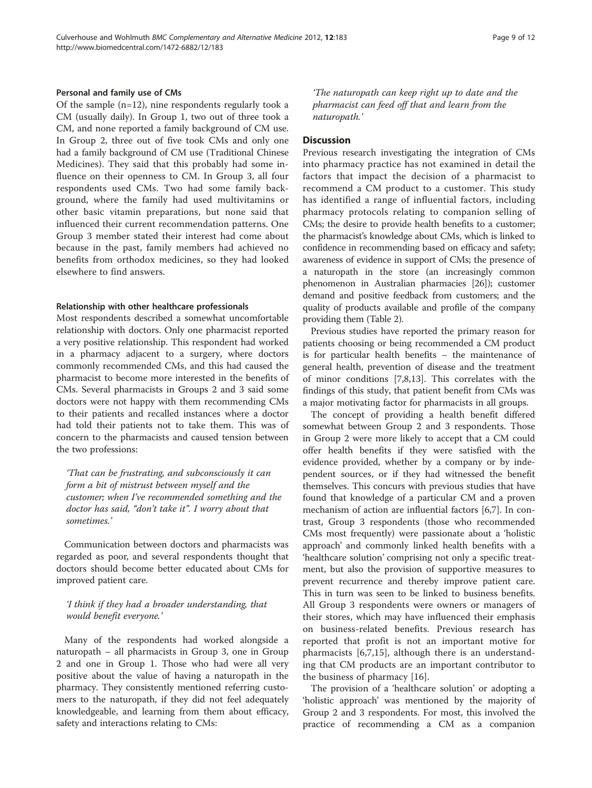#### Personal and family use of CMs

Of the sample  $(n=12)$ , nine respondents regularly took a CM (usually daily). In Group 1, two out of three took a CM, and none reported a family background of CM use. In Group 2, three out of five took CMs and only one had a family background of CM use (Traditional Chinese Medicines). They said that this probably had some influence on their openness to CM. In Group 3, all four respondents used CMs. Two had some family background, where the family had used multivitamins or other basic vitamin preparations, but none said that influenced their current recommendation patterns. One Group 3 member stated their interest had come about because in the past, family members had achieved no benefits from orthodox medicines, so they had looked elsewhere to find answers.

#### Relationship with other healthcare professionals

Most respondents described a somewhat uncomfortable relationship with doctors. Only one pharmacist reported a very positive relationship. This respondent had worked in a pharmacy adjacent to a surgery, where doctors commonly recommended CMs, and this had caused the pharmacist to become more interested in the benefits of CMs. Several pharmacists in Groups 2 and 3 said some doctors were not happy with them recommending CMs to their patients and recalled instances where a doctor had told their patients not to take them. This was of concern to the pharmacists and caused tension between the two professions:

'That can be frustrating, and subconsciously it can form a bit of mistrust between myself and the customer; when I've recommended something and the doctor has said, "don't take it". I worry about that sometimes.'

Communication between doctors and pharmacists was regarded as poor, and several respondents thought that doctors should become better educated about CMs for improved patient care.

# 'I think if they had a broader understanding, that would benefit everyone.'

Many of the respondents had worked alongside a naturopath – all pharmacists in Group 3, one in Group 2 and one in Group 1. Those who had were all very positive about the value of having a naturopath in the pharmacy. They consistently mentioned referring customers to the naturopath, if they did not feel adequately knowledgeable, and learning from them about efficacy, safety and interactions relating to CMs:

'The naturopath can keep right up to date and the pharmacist can feed off that and learn from the naturopath.'

# **Discussion**

Previous research investigating the integration of CMs into pharmacy practice has not examined in detail the factors that impact the decision of a pharmacist to recommend a CM product to a customer. This study has identified a range of influential factors, including pharmacy protocols relating to companion selling of CMs; the desire to provide health benefits to a customer; the pharmacist's knowledge about CMs, which is linked to confidence in recommending based on efficacy and safety; awareness of evidence in support of CMs; the presence of a naturopath in the store (an increasingly common phenomenon in Australian pharmacies [[26](#page-11-0)]); customer demand and positive feedback from customers; and the quality of products available and profile of the company providing them (Table [2](#page-3-0)).

Previous studies have reported the primary reason for patients choosing or being recommended a CM product is for particular health benefits – the maintenance of general health, prevention of disease and the treatment of minor conditions [[7](#page-10-0),[8,13](#page-11-0)]. This correlates with the findings of this study, that patient benefit from CMs was a major motivating factor for pharmacists in all groups.

The concept of providing a health benefit differed somewhat between Group 2 and 3 respondents. Those in Group 2 were more likely to accept that a CM could offer health benefits if they were satisfied with the evidence provided, whether by a company or by independent sources, or if they had witnessed the benefit themselves. This concurs with previous studies that have found that knowledge of a particular CM and a proven mechanism of action are influential factors [[6,7\]](#page-10-0). In contrast, Group 3 respondents (those who recommended CMs most frequently) were passionate about a 'holistic approach' and commonly linked health benefits with a 'healthcare solution' comprising not only a specific treatment, but also the provision of supportive measures to prevent recurrence and thereby improve patient care. This in turn was seen to be linked to business benefits. All Group 3 respondents were owners or managers of their stores, which may have influenced their emphasis on business-related benefits. Previous research has reported that profit is not an important motive for pharmacists [\[6,7](#page-10-0),[15\]](#page-11-0), although there is an understanding that CM products are an important contributor to the business of pharmacy [[16\]](#page-11-0).

The provision of a 'healthcare solution' or adopting a 'holistic approach' was mentioned by the majority of Group 2 and 3 respondents. For most, this involved the practice of recommending a CM as a companion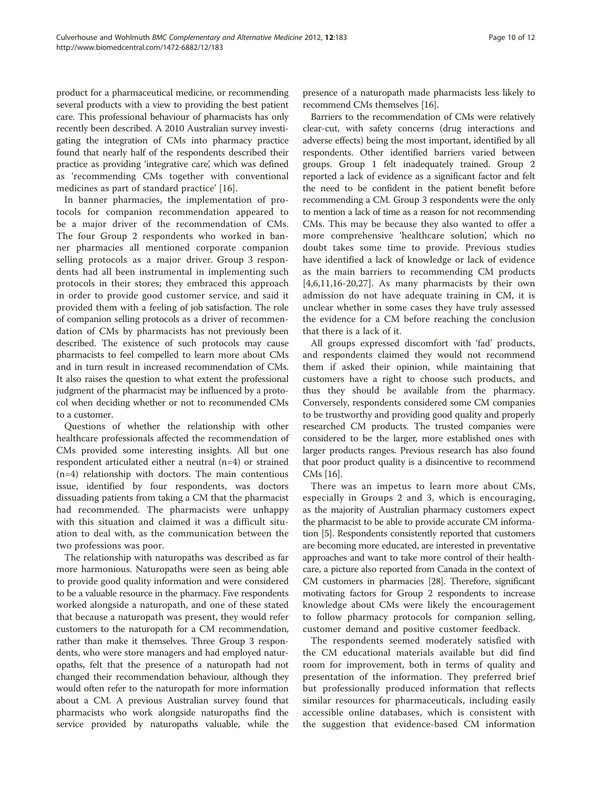product for a pharmaceutical medicine, or recommending several products with a view to providing the best patient care. This professional behaviour of pharmacists has only recently been described. A 2010 Australian survey investigating the integration of CMs into pharmacy practice found that nearly half of the respondents described their practice as providing 'integrative care', which was defined as 'recommending CMs together with conventional medicines as part of standard practice' [[16\]](#page-11-0).

In banner pharmacies, the implementation of protocols for companion recommendation appeared to be a major driver of the recommendation of CMs. The four Group 2 respondents who worked in banner pharmacies all mentioned corporate companion selling protocols as a major driver. Group 3 respondents had all been instrumental in implementing such protocols in their stores; they embraced this approach in order to provide good customer service, and said it provided them with a feeling of job satisfaction. The role of companion selling protocols as a driver of recommendation of CMs by pharmacists has not previously been described. The existence of such protocols may cause pharmacists to feel compelled to learn more about CMs and in turn result in increased recommendation of CMs. It also raises the question to what extent the professional judgment of the pharmacist may be influenced by a protocol when deciding whether or not to recommended CMs to a customer.

Questions of whether the relationship with other healthcare professionals affected the recommendation of CMs provided some interesting insights. All but one respondent articulated either a neutral (n=4) or strained (n=4) relationship with doctors. The main contentious issue, identified by four respondents, was doctors dissuading patients from taking a CM that the pharmacist had recommended. The pharmacists were unhappy with this situation and claimed it was a difficult situation to deal with, as the communication between the two professions was poor.

The relationship with naturopaths was described as far more harmonious. Naturopaths were seen as being able to provide good quality information and were considered to be a valuable resource in the pharmacy. Five respondents worked alongside a naturopath, and one of these stated that because a naturopath was present, they would refer customers to the naturopath for a CM recommendation, rather than make it themselves. Three Group 3 respondents, who were store managers and had employed naturopaths, felt that the presence of a naturopath had not changed their recommendation behaviour, although they would often refer to the naturopath for more information about a CM. A previous Australian survey found that pharmacists who work alongside naturopaths find the service provided by naturopaths valuable, while the

presence of a naturopath made pharmacists less likely to recommend CMs themselves [[16](#page-11-0)].

Barriers to the recommendation of CMs were relatively clear-cut, with safety concerns (drug interactions and adverse effects) being the most important, identified by all respondents. Other identified barriers varied between groups. Group 1 felt inadequately trained. Group 2 reported a lack of evidence as a significant factor and felt the need to be confident in the patient benefit before recommending a CM. Group 3 respondents were the only to mention a lack of time as a reason for not recommending CMs. This may be because they also wanted to offer a more comprehensive 'healthcare solution', which no doubt takes some time to provide. Previous studies have identified a lack of knowledge or lack of evidence as the main barriers to recommending CM products [[4,6](#page-10-0)[,11](#page-11-0),[16-20](#page-11-0),[27\]](#page-11-0). As many pharmacists by their own admission do not have adequate training in CM, it is unclear whether in some cases they have truly assessed the evidence for a CM before reaching the conclusion that there is a lack of it.

All groups expressed discomfort with 'fad' products, and respondents claimed they would not recommend them if asked their opinion, while maintaining that customers have a right to choose such products, and thus they should be available from the pharmacy. Conversely, respondents considered some CM companies to be trustworthy and providing good quality and properly researched CM products. The trusted companies were considered to be the larger, more established ones with larger products ranges. Previous research has also found that poor product quality is a disincentive to recommend CMs [[16](#page-11-0)].

There was an impetus to learn more about CMs, especially in Groups 2 and 3, which is encouraging, as the majority of Australian pharmacy customers expect the pharmacist to be able to provide accurate CM information [[5](#page-10-0)]. Respondents consistently reported that customers are becoming more educated, are interested in preventative approaches and want to take more control of their healthcare, a picture also reported from Canada in the context of CM customers in pharmacies [\[28](#page-11-0)]. Therefore, significant motivating factors for Group 2 respondents to increase knowledge about CMs were likely the encouragement to follow pharmacy protocols for companion selling, customer demand and positive customer feedback.

The respondents seemed moderately satisfied with the CM educational materials available but did find room for improvement, both in terms of quality and presentation of the information. They preferred brief but professionally produced information that reflects similar resources for pharmaceuticals, including easily accessible online databases, which is consistent with the suggestion that evidence-based CM information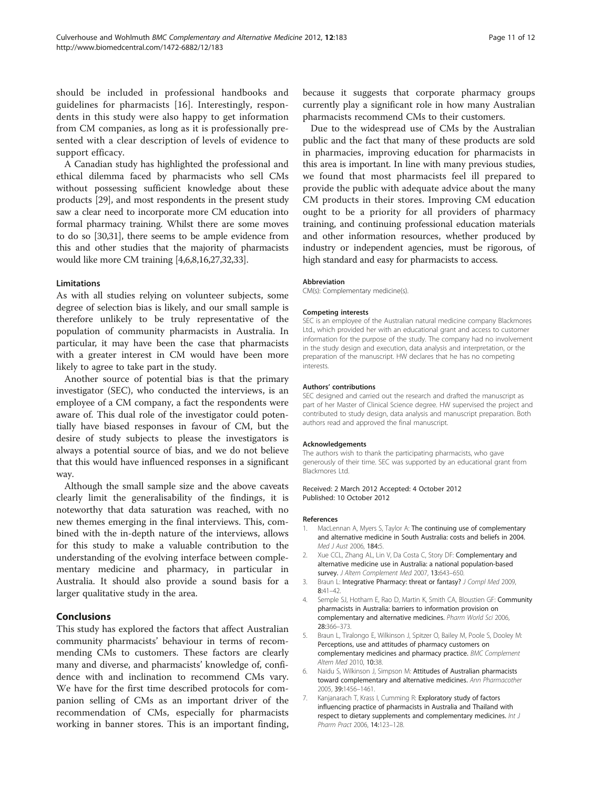<span id="page-10-0"></span>should be included in professional handbooks and guidelines for pharmacists [[16\]](#page-11-0). Interestingly, respondents in this study were also happy to get information from CM companies, as long as it is professionally presented with a clear description of levels of evidence to support efficacy.

A Canadian study has highlighted the professional and ethical dilemma faced by pharmacists who sell CMs without possessing sufficient knowledge about these products [[29\]](#page-11-0), and most respondents in the present study saw a clear need to incorporate more CM education into formal pharmacy training. Whilst there are some moves to do so [[30,31](#page-11-0)], there seems to be ample evidence from this and other studies that the majority of pharmacists would like more CM training [4,6[,8,16,27,32,33\]](#page-11-0).

### Limitations

As with all studies relying on volunteer subjects, some degree of selection bias is likely, and our small sample is therefore unlikely to be truly representative of the population of community pharmacists in Australia. In particular, it may have been the case that pharmacists with a greater interest in CM would have been more likely to agree to take part in the study.

Another source of potential bias is that the primary investigator (SEC), who conducted the interviews, is an employee of a CM company, a fact the respondents were aware of. This dual role of the investigator could potentially have biased responses in favour of CM, but the desire of study subjects to please the investigators is always a potential source of bias, and we do not believe that this would have influenced responses in a significant way.

Although the small sample size and the above caveats clearly limit the generalisability of the findings, it is noteworthy that data saturation was reached, with no new themes emerging in the final interviews. This, combined with the in-depth nature of the interviews, allows for this study to make a valuable contribution to the understanding of the evolving interface between complementary medicine and pharmacy, in particular in Australia. It should also provide a sound basis for a larger qualitative study in the area.

# **Conclusions**

This study has explored the factors that affect Australian community pharmacists' behaviour in terms of recommending CMs to customers. These factors are clearly many and diverse, and pharmacists' knowledge of, confidence with and inclination to recommend CMs vary. We have for the first time described protocols for companion selling of CMs as an important driver of the recommendation of CMs, especially for pharmacists working in banner stores. This is an important finding, because it suggests that corporate pharmacy groups currently play a significant role in how many Australian pharmacists recommend CMs to their customers.

Due to the widespread use of CMs by the Australian public and the fact that many of these products are sold in pharmacies, improving education for pharmacists in this area is important. In line with many previous studies, we found that most pharmacists feel ill prepared to provide the public with adequate advice about the many CM products in their stores. Improving CM education ought to be a priority for all providers of pharmacy training, and continuing professional education materials and other information resources, whether produced by industry or independent agencies, must be rigorous, of high standard and easy for pharmacists to access.

#### Abbreviation

CM(s): Complementary medicine(s).

#### Competing interests

SEC is an employee of the Australian natural medicine company Blackmores Ltd., which provided her with an educational grant and access to customer information for the purpose of the study. The company had no involvement in the study design and execution, data analysis and interpretation, or the preparation of the manuscript. HW declares that he has no competing interests.

#### Authors' contributions

SEC designed and carried out the research and drafted the manuscript as part of her Master of Clinical Science degree. HW supervised the project and contributed to study design, data analysis and manuscript preparation. Both authors read and approved the final manuscript.

#### Acknowledgements

The authors wish to thank the participating pharmacists, who gave generously of their time. SEC was supported by an educational grant from Blackmores Ltd.

Received: 2 March 2012 Accepted: 4 October 2012 Published: 10 October 2012

#### References

- 1. MacLennan A, Myers S, Taylor A: The continuing use of complementary and alternative medicine in South Australia: costs and beliefs in 2004. Med J Aust 2006, 184:5.
- 2. Xue CCL, Zhang AL, Lin V, Da Costa C, Story DF: Complementary and alternative medicine use in Australia: a national population-based survey. J Altern Complement Med 2007, 13:643-650.
- 3. Braun L: Integrative Pharmacy: threat or fantasy? J Compl Med 2009, 8:41–42.
- 4. Semple SJ, Hotham E, Rao D, Martin K, Smith CA, Bloustien GF: Community pharmacists in Australia: barriers to information provision on complementary and alternative medicines. Pharm World Sci 2006, 28:366–373.
- 5. Braun L, Tiralongo E, Wilkinson J, Spitzer O, Bailey M, Poole S, Dooley M: Perceptions, use and attitudes of pharmacy customers on complementary medicines and pharmacy practice. BMC Complement Altern Med 2010, 10:38.
- 6. Naidu S, Wilkinson J, Simpson M: Attitudes of Australian pharmacists toward complementary and alternative medicines. Ann Pharmacother 2005, 39:1456–1461.
- 7. Kanjanarach T, Krass I, Cumming R: Exploratory study of factors influencing practice of pharmacists in Australia and Thailand with respect to dietary supplements and complementary medicines. Int J Pharm Pract 2006, 14:123–128.